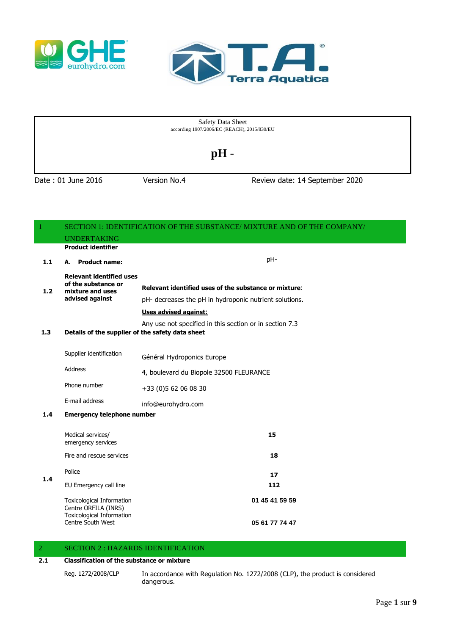



Date : 01 June 2016 Version No.4 Review date: 14 September 2020 Safety Data Sheet according 1907/2006/EC (REACH), 2015/830/EU **pH -**

|       | SECTION 1: IDENTIFICATION OF THE SUBSTANCE/ MIXTURE AND OF THE COMPANY/<br><b>UNDERTAKING</b> |                                                         |
|-------|-----------------------------------------------------------------------------------------------|---------------------------------------------------------|
|       | <b>Product identifier</b>                                                                     |                                                         |
| $1.1$ | A. Product name:                                                                              | pH-                                                     |
| 1.2   | <b>Relevant identified uses</b><br>of the substance or<br>mixture and uses                    | Relevant identified uses of the substance or mixture:   |
|       | advised against                                                                               | pH- decreases the pH in hydroponic nutrient solutions.  |
|       |                                                                                               | Uses advised against:                                   |
| 1.3   | Details of the supplier of the safety data sheet                                              | Any use not specified in this section or in section 7.3 |
|       | Supplier identification                                                                       | Général Hydroponics Europe                              |
|       | <b>Address</b>                                                                                | 4, boulevard du Biopole 32500 FLEURANCE                 |
|       | Phone number                                                                                  | +33 (0) 5 62 06 08 30                                   |
|       | E-mail address                                                                                | info@eurohydro.com                                      |
| 1.4   | <b>Emergency telephone number</b>                                                             |                                                         |
|       | Medical services/<br>emergency services                                                       | 15                                                      |
|       | Fire and rescue services                                                                      | 18                                                      |
| 1.4   | Police                                                                                        | 17                                                      |
|       | EU Emergency call line                                                                        | 112                                                     |
|       | <b>Toxicological Information</b><br>Centre ORFILA (INRS)<br><b>Toxicological Information</b>  | 01 45 41 59 59                                          |
|       | Centre South West                                                                             | 05 61 77 74 47                                          |

## 2 SECTION 2 : HAZARDS IDENTIFICATION

#### **2.1 Classification of the substance or mixture**

Reg. 1272/2008/CLP In accordance with Regulation No. 1272/2008 (CLP), the product is considered dangerous.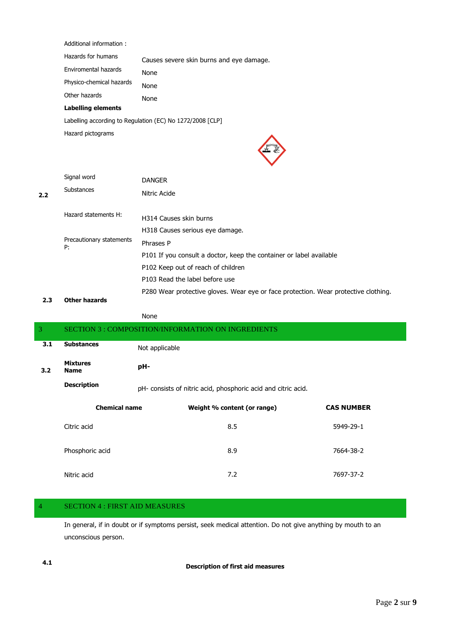Additional information :

| Hazards for humans       | Causes severe skin burns and eye damage. |
|--------------------------|------------------------------------------|
| Enviromental hazards     | None                                     |
| Physico-chemical hazards | None                                     |
| Other hazards            | None                                     |

## **Labelling elements**

Labelling according to Regulation (EC) No 1272/2008 [CLP]

Hazard pictograms



| 2.2 | Signal word<br>Substances      | <b>DANGER</b><br>Nitric Acide                                                       |
|-----|--------------------------------|-------------------------------------------------------------------------------------|
|     | Hazard statements H:           | H314 Causes skin burns                                                              |
|     |                                | H318 Causes serious eye damage.                                                     |
|     | Precautionary statements<br>P: | Phrases P                                                                           |
|     |                                | P101 If you consult a doctor, keep the container or label available                 |
|     |                                | P102 Keep out of reach of children                                                  |
|     |                                | P103 Read the label before use                                                      |
|     |                                | P280 Wear protective gloves. Wear eye or face protection. Wear protective clothing. |

#### **2.3 Other hazards**

| ١r<br>ıΓ<br>۰.<br>×<br>۰, |
|---------------------------|
|---------------------------|

| 3   |                                | <b>SECTION 3: COMPOSITION/INFORMATION ON INGREDIENTS</b>      |                             |                   |
|-----|--------------------------------|---------------------------------------------------------------|-----------------------------|-------------------|
| 3.1 | <b>Substances</b>              | Not applicable                                                |                             |                   |
| 3.2 | <b>Mixtures</b><br><b>Name</b> | pH-                                                           |                             |                   |
|     | <b>Description</b>             | pH- consists of nitric acid, phosphoric acid and citric acid. |                             |                   |
|     | <b>Chemical name</b>           |                                                               | Weight % content (or range) | <b>CAS NUMBER</b> |
|     | Citric acid                    |                                                               | 8.5                         | 5949-29-1         |
|     | Phosphoric acid                |                                                               | 8.9                         | 7664-38-2         |
|     | Nitric acid                    |                                                               | 7.2                         | 7697-37-2         |

## 4 SECTION 4 : FIRST AID MEASURES

In general, if in doubt or if symptoms persist, seek medical attention. Do not give anything by mouth to an unconscious person.

**4.1 Description of first aid measures**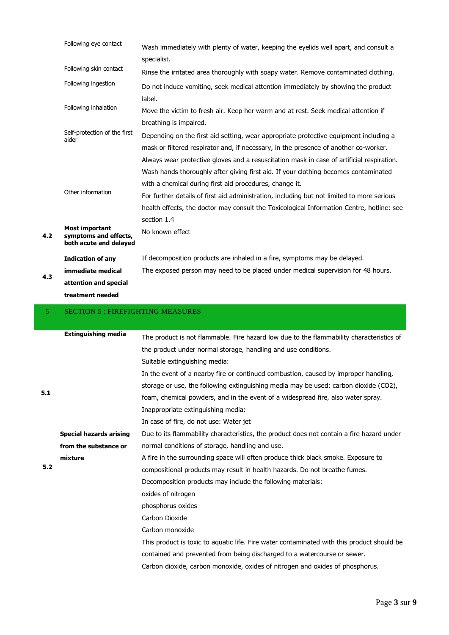|     | Following eye contact                                                    | Wash immediately with plenty of water, keeping the eyelids well apart, and consult a<br>specialist.                                                                                                                                                                                                                                       |
|-----|--------------------------------------------------------------------------|-------------------------------------------------------------------------------------------------------------------------------------------------------------------------------------------------------------------------------------------------------------------------------------------------------------------------------------------|
|     | Following skin contact                                                   | Rinse the irritated area thoroughly with soapy water. Remove contaminated clothing.                                                                                                                                                                                                                                                       |
|     | Following ingestion                                                      | Do not induce vomiting, seek medical attention immediately by showing the product                                                                                                                                                                                                                                                         |
|     | Following inhalation                                                     | label.<br>Move the victim to fresh air. Keep her warm and at rest. Seek medical attention if                                                                                                                                                                                                                                              |
|     | Self-protection of the first<br>aider                                    | breathing is impaired.<br>Depending on the first aid setting, wear appropriate protective equipment including a<br>mask or filtered respirator and, if necessary, in the presence of another co-worker.<br>Always wear protective gloves and a resuscitation mask in case of artificial respiration.                                      |
|     | Other information                                                        | Wash hands thoroughly after giving first aid. If your clothing becomes contaminated<br>with a chemical during first aid procedures, change it.<br>For further details of first aid administration, including but not limited to more serious<br>health effects, the doctor may consult the Toxicological Information Centre, hotline: see |
| 4.2 | <b>Most important</b><br>symptoms and effects,<br>both acute and delayed | section 1.4<br>No known effect                                                                                                                                                                                                                                                                                                            |
|     | <b>Indication of any</b>                                                 | If decomposition products are inhaled in a fire, symptoms may be delayed.                                                                                                                                                                                                                                                                 |
|     | immediate medical                                                        | The exposed person may need to be placed under medical supervision for 48 hours.                                                                                                                                                                                                                                                          |
| 4.3 | attention and special                                                    |                                                                                                                                                                                                                                                                                                                                           |
|     | treatment needed                                                         |                                                                                                                                                                                                                                                                                                                                           |
|     |                                                                          |                                                                                                                                                                                                                                                                                                                                           |
| 5   | <b>SECTION 5: FIREFIGHTING MEASURES</b>                                  |                                                                                                                                                                                                                                                                                                                                           |
|     | <b>Extinguishing media</b>                                               |                                                                                                                                                                                                                                                                                                                                           |
|     |                                                                          | The product is not flammable. Fire hazard low due to the flammability characteristics of<br>the product under normal storage, handling and use conditions.                                                                                                                                                                                |
|     |                                                                          | Suitable extinguishing media:                                                                                                                                                                                                                                                                                                             |
| 5.1 |                                                                          | In the event of a nearby fire or continued combustion, caused by improper handling,<br>storage or use, the following extinguishing media may be used: carbon dioxide (CO2),<br>foam, chemical powders, and in the event of a widespread fire, also water spray.<br>Inappropriate extinguishing media:                                     |
|     |                                                                          | In case of fire, do not use: Water jet                                                                                                                                                                                                                                                                                                    |
|     | <b>Special hazards arising</b>                                           | Due to its flammability characteristics, the product does not contain a fire hazard under                                                                                                                                                                                                                                                 |
|     | from the substance or                                                    | normal conditions of storage, handling and use.                                                                                                                                                                                                                                                                                           |
|     | mixture                                                                  | A fire in the surrounding space will often produce thick black smoke. Exposure to                                                                                                                                                                                                                                                         |
| 5.2 |                                                                          | compositional products may result in health hazards. Do not breathe fumes.                                                                                                                                                                                                                                                                |
|     |                                                                          | Decomposition products may include the following materials:                                                                                                                                                                                                                                                                               |
|     |                                                                          | oxides of nitrogen                                                                                                                                                                                                                                                                                                                        |
|     |                                                                          | phosphorus oxides                                                                                                                                                                                                                                                                                                                         |
|     |                                                                          | Carbon Dioxide                                                                                                                                                                                                                                                                                                                            |
|     |                                                                          | Carbon monoxide                                                                                                                                                                                                                                                                                                                           |
|     |                                                                          | This product is toxic to aquatic life. Fire water contaminated with this product should be                                                                                                                                                                                                                                                |
|     |                                                                          | contained and prevented from being discharged to a watercourse or sewer.                                                                                                                                                                                                                                                                  |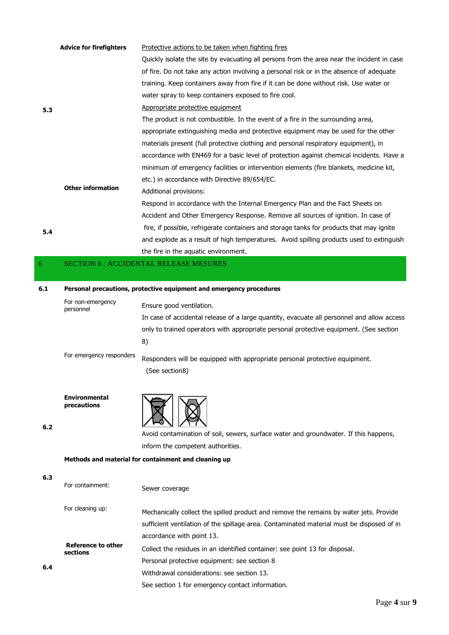|     | <b>Advice for firefighters</b> | Protective actions to be taken when fighting fires                                         |
|-----|--------------------------------|--------------------------------------------------------------------------------------------|
|     |                                | Quickly isolate the site by evacuating all persons from the area near the incident in case |
|     |                                | of fire. Do not take any action involving a personal risk or in the absence of adequate    |
|     |                                | training. Keep containers away from fire if it can be done without risk. Use water or      |
|     |                                | water spray to keep containers exposed to fire cool.                                       |
| 5.3 |                                | Appropriate protective equipment                                                           |
|     |                                | The product is not combustible. In the event of a fire in the surrounding area,            |
|     |                                | appropriate extinguishing media and protective equipment may be used for the other         |
|     |                                | materials present (full protective clothing and personal respiratory equipment), in        |
|     |                                | accordance with EN469 for a basic level of protection against chemical incidents. Have a   |
|     | <b>Other information</b>       | minimum of emergency facilities or intervention elements (fire blankets, medicine kit,     |
|     |                                | etc.) in accordance with Directive 89/654/EC.                                              |
|     |                                | Additional provisions:                                                                     |
|     |                                | Respond in accordance with the Internal Emergency Plan and the Fact Sheets on              |
|     |                                | Accident and Other Emergency Response. Remove all sources of ignition. In case of          |
| 5.4 |                                | fire, if possible, refrigerate containers and storage tanks for products that may ignite   |
|     |                                | and explode as a result of high temperatures. Avoid spilling products used to extinguish   |
|     |                                | the fire in the aquatic environment.                                                       |
| 6   |                                | <b>SECTION 6: ACCIDENTAL RELEASE MESURES</b>                                               |
|     |                                |                                                                                            |
| 6.1 |                                | Personal precautions, protective equipment and emergency procedures                        |
|     | For non-emergency              | Encura good vantilation                                                                    |

For non-emergency<br>
Ensure good ventilation. In case of accidental release of a large quantity, evacuate all personnel and allow access only to trained operators with appropriate personal protective equipment. (See section 8)

For emergency responders Responders will be equipped with appropriate personal protective equipment. (See section8)

**Environmental precautions**

**6.2**



Avoid contamination of soil, sewers, surface water and groundwater. If this happens, inform the competent authorities.

#### **Methods and material for containment and cleaning up**

| 6.3 |                                       |                                                                                           |
|-----|---------------------------------------|-------------------------------------------------------------------------------------------|
|     | For containment:                      | Sewer coverage                                                                            |
|     | For cleaning up:                      | Mechanically collect the spilled product and remove the remains by water jets. Provide    |
|     |                                       | sufficient ventilation of the spillage area. Contaminated material must be disposed of in |
|     |                                       | accordance with point 13.                                                                 |
|     | <b>Reference to other</b><br>sections | Collect the residues in an identified container: see point 13 for disposal.               |
|     |                                       | Personal protective equipment: see section 8                                              |
| 6.4 |                                       | Withdrawal considerations: see section 13.                                                |
|     |                                       | See section 1 for emergency contact information.                                          |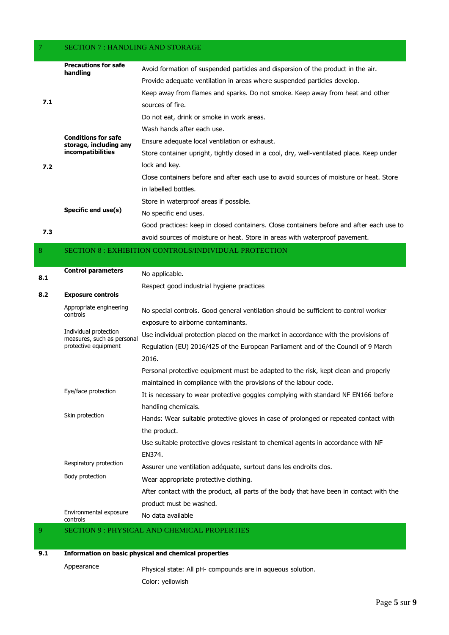## 7 SECTION 7 : HANDLING AND STORAGE

|     | <b>Precautions for safe</b><br>handling                                          | Avoid formation of suspended particles and dispersion of the product in the air.          |
|-----|----------------------------------------------------------------------------------|-------------------------------------------------------------------------------------------|
|     |                                                                                  | Provide adequate ventilation in areas where suspended particles develop.                  |
|     |                                                                                  | Keep away from flames and sparks. Do not smoke. Keep away from heat and other             |
| 7.1 |                                                                                  | sources of fire.                                                                          |
|     |                                                                                  | Do not eat, drink or smoke in work areas.                                                 |
|     |                                                                                  | Wash hands after each use.                                                                |
|     | <b>Conditions for safe</b><br>storage, including any<br><i>incompatibilities</i> | Ensure adequate local ventilation or exhaust.                                             |
|     |                                                                                  | Store container upright, tightly closed in a cool, dry, well-ventilated place. Keep under |
| 7.2 |                                                                                  | lock and key.                                                                             |
|     |                                                                                  | Close containers before and after each use to avoid sources of moisture or heat. Store    |
|     |                                                                                  | in labelled bottles.                                                                      |
|     |                                                                                  | Store in waterproof areas if possible.                                                    |
|     | Specific end use(s)                                                              | No specific end uses.                                                                     |
|     |                                                                                  | Good practices: keep in closed containers. Close containers before and after each use to  |
| 7.3 |                                                                                  | avoid sources of moisture or heat. Store in areas with waterproof pavement.               |

#### 8 SECTION 8 : EXHIBITION CONTROLS/INDIVIDUAL PROTECTION

| 8.1 | <b>Control parameters</b>                           | No applicable.                                                                           |
|-----|-----------------------------------------------------|------------------------------------------------------------------------------------------|
|     |                                                     | Respect good industrial hygiene practices                                                |
| 8.2 | <b>Exposure controls</b>                            |                                                                                          |
|     | Appropriate engineering<br>controls                 | No special controls. Good general ventilation should be sufficient to control worker     |
|     |                                                     | exposure to airborne contaminants.                                                       |
|     | Individual protection<br>measures, such as personal | Use individual protection placed on the market in accordance with the provisions of      |
|     | protective equipment                                | Regulation (EU) 2016/425 of the European Parliament and of the Council of 9 March        |
|     |                                                     | 2016.                                                                                    |
|     |                                                     | Personal protective equipment must be adapted to the risk, kept clean and properly       |
|     |                                                     | maintained in compliance with the provisions of the labour code.                         |
|     | Eye/face protection                                 | It is necessary to wear protective goggles complying with standard NF EN166 before       |
|     | Skin protection                                     | handling chemicals.                                                                      |
|     |                                                     | Hands: Wear suitable protective gloves in case of prolonged or repeated contact with     |
|     |                                                     | the product.                                                                             |
|     |                                                     | Use suitable protective gloves resistant to chemical agents in accordance with NF        |
|     |                                                     | EN374.                                                                                   |
|     | Respiratory protection                              | Assurer une ventilation adéquate, surtout dans les endroits clos.                        |
|     | Body protection                                     | Wear appropriate protective clothing.                                                    |
|     |                                                     | After contact with the product, all parts of the body that have been in contact with the |
|     |                                                     | product must be washed.                                                                  |
|     | Environmental exposure<br>controls                  | No data available                                                                        |

'AL AND CHEMICAL PROPERTIE

## **9.1 Information on basic physical and chemical properties**

Appearance Physical state: All pH- compounds are in aqueous solution. Color: yellowish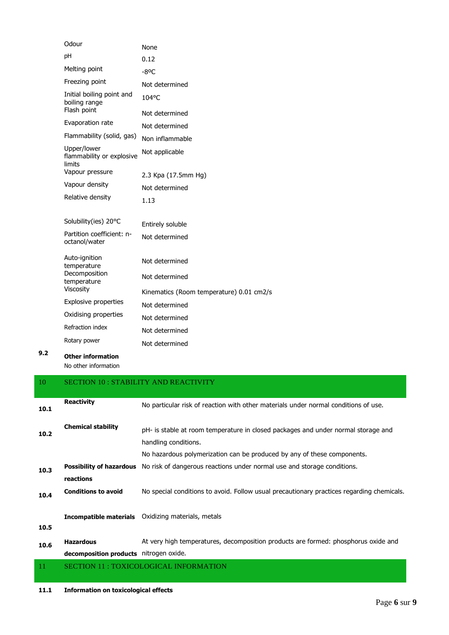| Odour                                                     | None                                     |
|-----------------------------------------------------------|------------------------------------------|
| pH                                                        | 0.12                                     |
| Melting point                                             | $-8^{\circ}$ C                           |
| Freezing point                                            | Not determined                           |
| Initial boiling point and<br>boiling range<br>Flash point | 104°C                                    |
|                                                           | Not determined                           |
| Evaporation rate                                          | Not determined                           |
| Flammability (solid, gas)                                 | Non inflammable                          |
| Upper/lower<br>flammability or explosive<br>limits        | Not applicable                           |
| Vapour pressure                                           | 2.3 Kpa (17.5mm Hg)                      |
| Vapour density                                            | Not determined                           |
| Relative density                                          | 1.13                                     |
| Solubility(ies) 20°C                                      | Entirely soluble                         |
| Partition coefficient: n-<br>octanol/water                | Not determined                           |
| Auto-ignition<br>temperature                              | Not determined                           |
| Decomposition<br>temperature                              | Not determined                           |
| Viscosity                                                 | Kinematics (Room temperature) 0.01 cm2/s |
| <b>Explosive properties</b>                               | Not determined                           |
| Oxidising properties                                      | Not determined                           |
| Refraction index                                          | Not determined                           |
| Rotary power                                              | Not determined                           |
|                                                           |                                          |

**9.2 Other information** No other information

# 10 SECTION 10 : STABILITY AND REACTIVITY **10.1 Reactivity** No particular risk of reaction with other materials under normal conditions of use. **10.2 Chemical stability** pH- is stable at room temperature in closed packages and under normal storage and handling conditions. No hazardous polymerization can be produced by any of these components. **10.3 Possibility of hazardous**  No risk of dangerous reactions under normal use and storage conditions. **reactions 10.4 Conditions to avoid** No special conditions to avoid. Follow usual precautionary practices regarding chemicals. **10.5 Incompatible materials** Oxidizing materials, metals **10.6 Hazardous decomposition products** nitrogen oxide. At very high temperatures, decomposition products are formed: phosphorus oxide and 11 SECTION 11 : TOXICOLOGICAL INFORMATION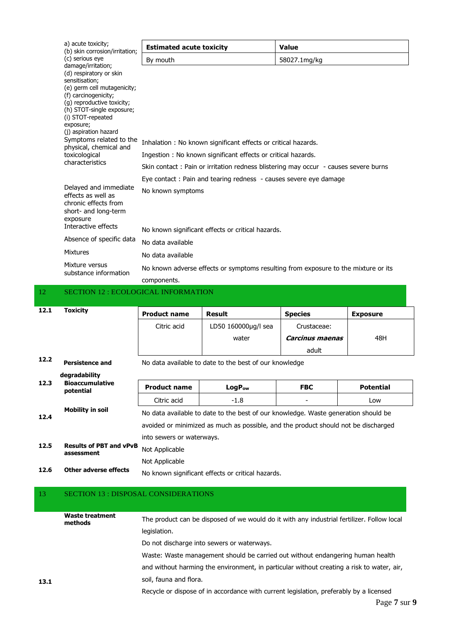| a) acute toxicity;<br>(b) skin corrosion/irritation;                                                                                                                                                                                                                                                                                  | <b>Estimated acute toxicity</b>                                                                                                                                                                                       | <b>Value</b> |  |
|---------------------------------------------------------------------------------------------------------------------------------------------------------------------------------------------------------------------------------------------------------------------------------------------------------------------------------------|-----------------------------------------------------------------------------------------------------------------------------------------------------------------------------------------------------------------------|--------------|--|
| (c) serious eye                                                                                                                                                                                                                                                                                                                       | By mouth                                                                                                                                                                                                              | 58027.1mg/kg |  |
| damage/irritation;<br>(d) respiratory or skin<br>sensitisation;<br>(e) germ cell mutagenicity;<br>(f) carcinogenicity;<br>(g) reproductive toxicity;<br>(h) STOT-single exposure;<br>(i) STOT-repeated<br>exposure;<br>(j) aspiration hazard<br>Symptoms related to the<br>physical, chemical and<br>toxicological<br>characteristics | Inhalation : No known significant effects or critical hazards.<br>Ingestion: No known significant effects or critical hazards.<br>Skin contact: Pain or irritation redness blistering may occur - causes severe burns |              |  |
|                                                                                                                                                                                                                                                                                                                                       | Eye contact: Pain and tearing redness - causes severe eye damage                                                                                                                                                      |              |  |
| Delayed and immediate<br>effects as well as<br>chronic effects from<br>short- and long-term<br>exposure<br>Interactive effects                                                                                                                                                                                                        | No known symptoms<br>No known significant effects or critical hazards.                                                                                                                                                |              |  |
| Absence of specific data                                                                                                                                                                                                                                                                                                              | No data available                                                                                                                                                                                                     |              |  |
| <b>Mixtures</b>                                                                                                                                                                                                                                                                                                                       | No data available                                                                                                                                                                                                     |              |  |
| Mixture versus<br>substance information                                                                                                                                                                                                                                                                                               | No known adverse effects or symptoms resulting from exposure to the mixture or its<br>components.                                                                                                                     |              |  |

## 12 SECTION 12 : ECOLOGICAL INFORMATION

| 12.1 | <b>Toxicity</b>                              | <b>Product name</b>                                                                | Result                                                 | <b>Species</b>  | <b>Exposure</b>  |  |
|------|----------------------------------------------|------------------------------------------------------------------------------------|--------------------------------------------------------|-----------------|------------------|--|
|      |                                              | Citric acid                                                                        | LD50 160000µg/l sea                                    | Crustaceae:     |                  |  |
|      |                                              |                                                                                    | water                                                  | Carcinus maenas | 48H              |  |
|      |                                              |                                                                                    |                                                        | adult           |                  |  |
| 12.2 | <b>Persistence and</b>                       |                                                                                    | No data available to date to the best of our knowledge |                 |                  |  |
| 12.3 | degradability                                |                                                                                    |                                                        |                 |                  |  |
|      | <b>Bioaccumulative</b><br>potential          | <b>Product name</b>                                                                | LogP <sub>ow</sub>                                     | <b>FBC</b>      | <b>Potential</b> |  |
|      |                                              | Citric acid                                                                        | $-1.8$                                                 |                 | Low              |  |
| 12.4 | <b>Mobility in soil</b>                      | No data available to date to the best of our knowledge. Waste generation should be |                                                        |                 |                  |  |
|      |                                              | avoided or minimized as much as possible, and the product should not be discharged |                                                        |                 |                  |  |
| 12.5 |                                              | into sewers or waterways.                                                          |                                                        |                 |                  |  |
|      | <b>Results of PBT and vPvB</b><br>assessment | Not Applicable                                                                     |                                                        |                 |                  |  |
|      |                                              | Not Applicable                                                                     |                                                        |                 |                  |  |
| 12.6 | Other adverse effects                        |                                                                                    |                                                        |                 |                  |  |

## 13 SECTION 13 : DISPOSAL CONSIDERATIONS

|      | <b>Waste treatment</b><br>methods | The product can be disposed of we would do it with any industrial fertilizer. Follow local |
|------|-----------------------------------|--------------------------------------------------------------------------------------------|
|      |                                   | legislation.                                                                               |
|      |                                   | Do not discharge into sewers or waterways.                                                 |
|      |                                   | Waste: Waste management should be carried out without endangering human health             |
|      |                                   | and without harming the environment, in particular without creating a risk to water, air,  |
| 13.1 |                                   | soil, fauna and flora.                                                                     |
|      |                                   | Recycle or dispose of in accordance with current legislation, preferably by a licensed     |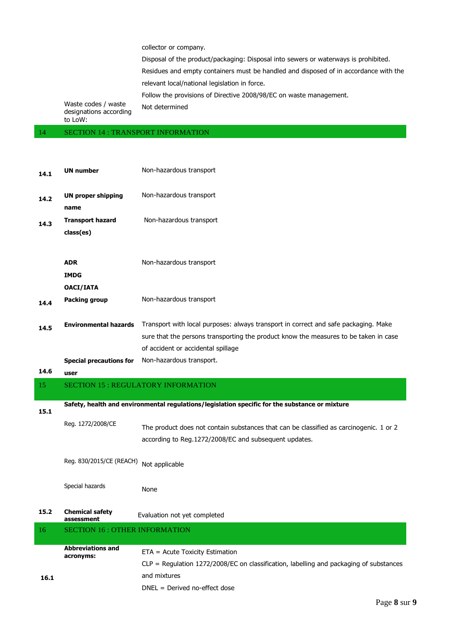collector or company.

Disposal of the product/packaging: Disposal into sewers or waterways is prohibited.

Residues and empty containers must be handled and disposed of in accordance with the relevant local/national legislation in force.

Follow the provisions of Directive 2008/98/EC on waste management.

Waste codes / waste designations according to LoW: Not determined

14 SECTION 14 : TRANSPORT INFORMATION

| 14.1 | <b>UN number</b>                          | Non-hazardous transport                                                                                                                                                                                           |  |  |
|------|-------------------------------------------|-------------------------------------------------------------------------------------------------------------------------------------------------------------------------------------------------------------------|--|--|
| 14.2 | <b>UN proper shipping</b><br>name         | Non-hazardous transport                                                                                                                                                                                           |  |  |
| 14.3 | <b>Transport hazard</b><br>class(es)      | Non-hazardous transport                                                                                                                                                                                           |  |  |
|      | <b>ADR</b><br><b>IMDG</b>                 | Non-hazardous transport                                                                                                                                                                                           |  |  |
| 14.4 | OACI/IATA<br><b>Packing group</b>         | Non-hazardous transport                                                                                                                                                                                           |  |  |
| 14.5 | <b>Environmental hazards</b>              | Transport with local purposes: always transport in correct and safe packaging. Make<br>sure that the persons transporting the product know the measures to be taken in case<br>of accident or accidental spillage |  |  |
|      | <b>Special precautions for</b>            | Non-hazardous transport.                                                                                                                                                                                          |  |  |
| 14.6 | user                                      |                                                                                                                                                                                                                   |  |  |
|      | <b>SECTION 15: REGULATORY INFORMATION</b> |                                                                                                                                                                                                                   |  |  |
| 15   |                                           |                                                                                                                                                                                                                   |  |  |
|      |                                           | Safety, health and environmental regulations/legislation specific for the substance or mixture                                                                                                                    |  |  |
| 15.1 | Reg. 1272/2008/CE                         | The product does not contain substances that can be classified as carcinogenic. 1 or 2<br>according to Reg.1272/2008/EC and subsequent updates.                                                                   |  |  |
|      | Reg. 830/2015/CE (REACH)                  | Not applicable                                                                                                                                                                                                    |  |  |
|      | Special hazards                           | None                                                                                                                                                                                                              |  |  |
| 15.2 | <b>Chemical safety</b><br>assessment      | Evaluation not yet completed                                                                                                                                                                                      |  |  |
| 16   | <b>SECTION 16: OTHER INFORMATION</b>      |                                                                                                                                                                                                                   |  |  |
|      | <b>Abbreviations and</b><br>acronyms:     | ETA = Acute Toxicity Estimation<br>$CLP =$ Regulation 1272/2008/EC on classification, labelling and packaging of substances                                                                                       |  |  |
| 16.1 |                                           | and mixtures<br>$DNEL = Derived no-effect dose$                                                                                                                                                                   |  |  |